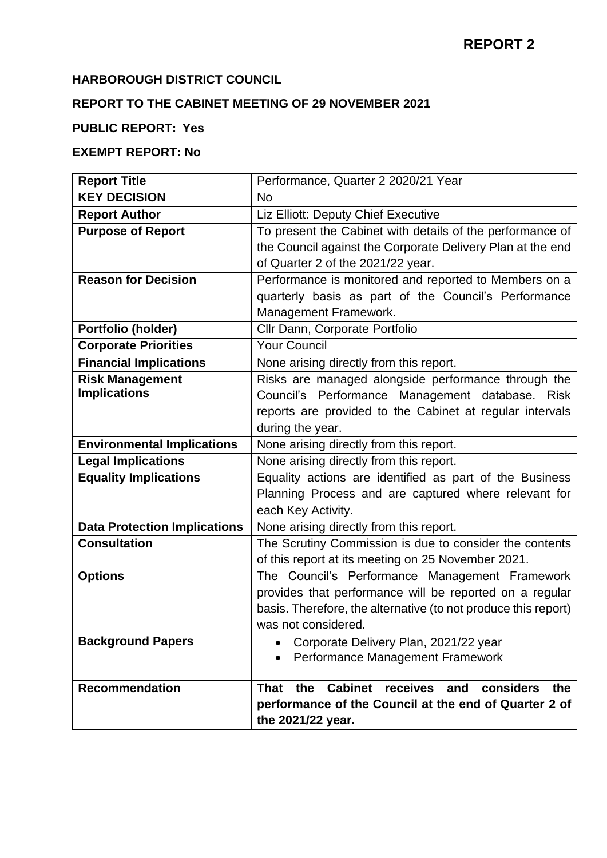# **HARBOROUGH DISTRICT COUNCIL**

# **REPORT TO THE CABINET MEETING OF 29 NOVEMBER 2021**

#### **PUBLIC REPORT: Yes**

# **EXEMPT REPORT: No**

| <b>Report Title</b>                 | Performance, Quarter 2 2020/21 Year                               |
|-------------------------------------|-------------------------------------------------------------------|
| <b>KEY DECISION</b>                 | N <sub>o</sub>                                                    |
| <b>Report Author</b>                | Liz Elliott: Deputy Chief Executive                               |
| <b>Purpose of Report</b>            | To present the Cabinet with details of the performance of         |
|                                     | the Council against the Corporate Delivery Plan at the end        |
|                                     | of Quarter 2 of the 2021/22 year.                                 |
| <b>Reason for Decision</b>          | Performance is monitored and reported to Members on a             |
|                                     | quarterly basis as part of the Council's Performance              |
|                                     | Management Framework.                                             |
| Portfolio (holder)                  | Cllr Dann, Corporate Portfolio                                    |
| <b>Corporate Priorities</b>         | <b>Your Council</b>                                               |
| <b>Financial Implications</b>       | None arising directly from this report.                           |
| <b>Risk Management</b>              | Risks are managed alongside performance through the               |
| <b>Implications</b>                 | Council's Performance Management database. Risk                   |
|                                     | reports are provided to the Cabinet at regular intervals          |
|                                     | during the year.                                                  |
| <b>Environmental Implications</b>   | None arising directly from this report.                           |
| <b>Legal Implications</b>           | None arising directly from this report.                           |
| <b>Equality Implications</b>        | Equality actions are identified as part of the Business           |
|                                     | Planning Process and are captured where relevant for              |
|                                     | each Key Activity.                                                |
| <b>Data Protection Implications</b> | None arising directly from this report.                           |
| <b>Consultation</b>                 | The Scrutiny Commission is due to consider the contents           |
|                                     | of this report at its meeting on 25 November 2021.                |
| <b>Options</b>                      | The Council's Performance Management Framework                    |
|                                     | provides that performance will be reported on a regular           |
|                                     | basis. Therefore, the alternative (to not produce this report)    |
|                                     | was not considered.                                               |
| <b>Background Papers</b>            | Corporate Delivery Plan, 2021/22 year                             |
|                                     | Performance Management Framework                                  |
| <b>Recommendation</b>               | Cabinet receives<br>the<br>considers<br><b>That</b><br>and<br>the |
|                                     | performance of the Council at the end of Quarter 2 of             |
|                                     | the 2021/22 year.                                                 |
|                                     |                                                                   |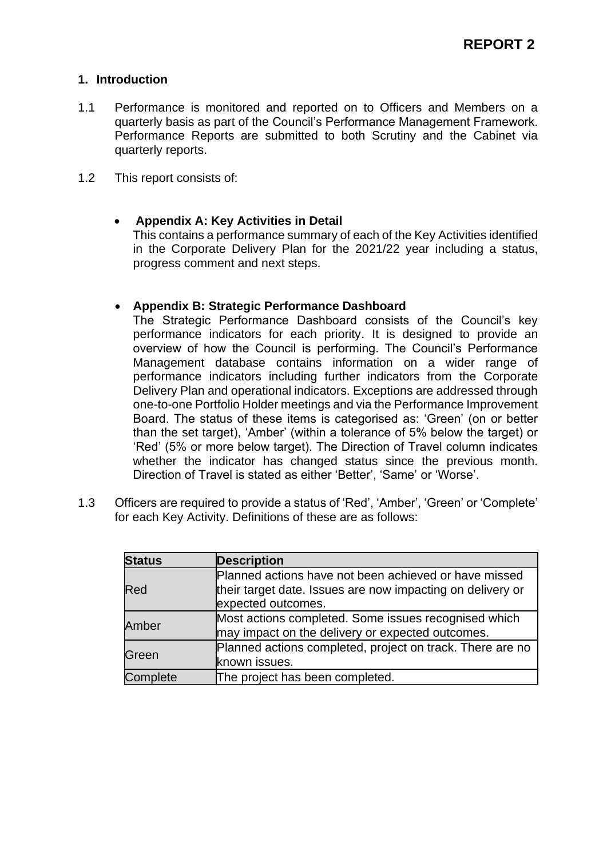#### **1. Introduction**

- 1.1 Performance is monitored and reported on to Officers and Members on a quarterly basis as part of the Council's Performance Management Framework. Performance Reports are submitted to both Scrutiny and the Cabinet via quarterly reports.
- 1.2 This report consists of:

#### • **Appendix A: Key Activities in Detail**

This contains a performance summary of each of the Key Activities identified in the Corporate Delivery Plan for the 2021/22 year including a status, progress comment and next steps.

#### • **Appendix B: Strategic Performance Dashboard**

The Strategic Performance Dashboard consists of the Council's key performance indicators for each priority. It is designed to provide an overview of how the Council is performing. The Council's Performance Management database contains information on a wider range of performance indicators including further indicators from the Corporate Delivery Plan and operational indicators. Exceptions are addressed through one-to-one Portfolio Holder meetings and via the Performance Improvement Board. The status of these items is categorised as: 'Green' (on or better than the set target), 'Amber' (within a tolerance of 5% below the target) or 'Red' (5% or more below target). The Direction of Travel column indicates whether the indicator has changed status since the previous month. Direction of Travel is stated as either 'Better', 'Same' or 'Worse'.

1.3 Officers are required to provide a status of 'Red', 'Amber', 'Green' or 'Complete' for each Key Activity. Definitions of these are as follows:

| <b>Status</b> | <b>Description</b>                                                                                                                        |
|---------------|-------------------------------------------------------------------------------------------------------------------------------------------|
| Red           | Planned actions have not been achieved or have missed<br>their target date. Issues are now impacting on delivery or<br>expected outcomes. |
| Amber         | Most actions completed. Some issues recognised which<br>may impact on the delivery or expected outcomes.                                  |
| Green         | Planned actions completed, project on track. There are no<br>known issues.                                                                |
| Complete      | The project has been completed.                                                                                                           |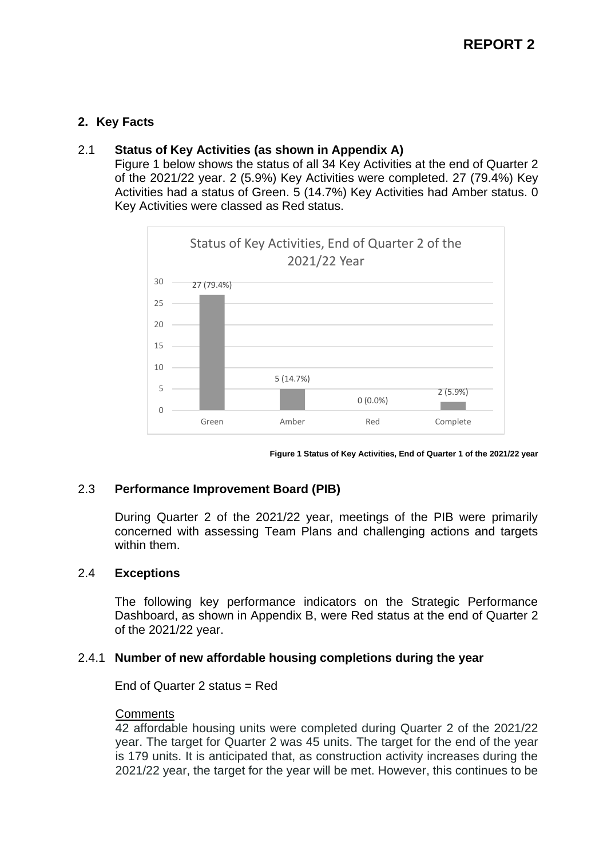# **2. Key Facts**

## 2.1 **Status of Key Activities (as shown in Appendix A)**

Figure 1 below shows the status of all 34 Key Activities at the end of Quarter 2 of the 2021/22 year. 2 (5.9%) Key Activities were completed. 27 (79.4%) Key Activities had a status of Green. 5 (14.7%) Key Activities had Amber status. 0 Key Activities were classed as Red status.



**Figure 1 Status of Key Activities, End of Quarter 1 of the 2021/22 year**

# 2.3 **Performance Improvement Board (PIB)**

During Quarter 2 of the 2021/22 year, meetings of the PIB were primarily concerned with assessing Team Plans and challenging actions and targets within them.

# 2.4 **Exceptions**

The following key performance indicators on the Strategic Performance Dashboard, as shown in Appendix B, were Red status at the end of Quarter 2 of the 2021/22 year.

#### 2.4.1 **Number of new affordable housing completions during the year**

End of Quarter 2 status = Red

#### **Comments**

42 affordable housing units were completed during Quarter 2 of the 2021/22 year. The target for Quarter 2 was 45 units. The target for the end of the year is 179 units. It is anticipated that, as construction activity increases during the 2021/22 year, the target for the year will be met. However, this continues to be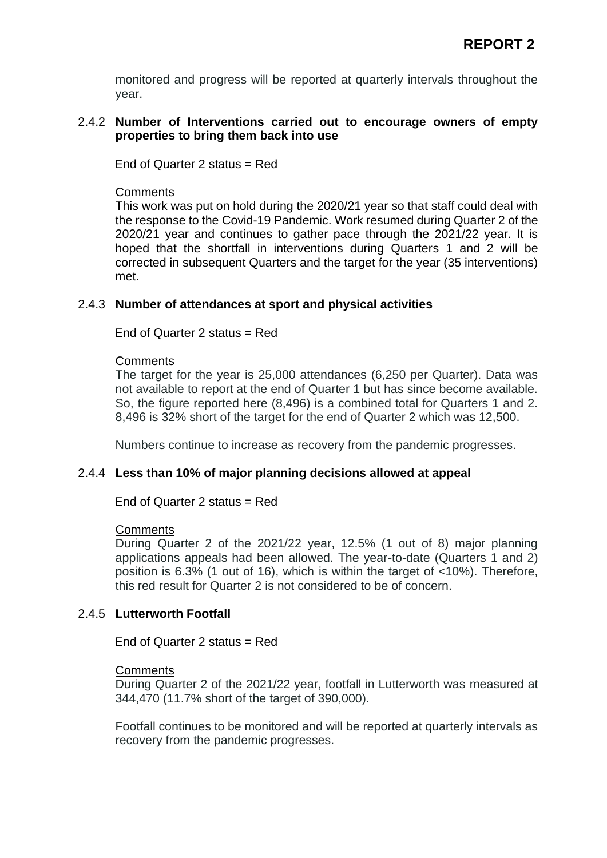monitored and progress will be reported at quarterly intervals throughout the year.

#### 2.4.2 **Number of Interventions carried out to encourage owners of empty properties to bring them back into use**

End of Quarter 2 status = Red

### **Comments**

This work was put on hold during the 2020/21 year so that staff could deal with the response to the Covid-19 Pandemic. Work resumed during Quarter 2 of the 2020/21 year and continues to gather pace through the 2021/22 year. It is hoped that the shortfall in interventions during Quarters 1 and 2 will be corrected in subsequent Quarters and the target for the year (35 interventions) met.

## 2.4.3 **Number of attendances at sport and physical activities**

End of Quarter 2 status = Red

#### **Comments**

The target for the year is 25,000 attendances (6,250 per Quarter). Data was not available to report at the end of Quarter 1 but has since become available. So, the figure reported here (8,496) is a combined total for Quarters 1 and 2. 8,496 is 32% short of the target for the end of Quarter 2 which was 12,500.

Numbers continue to increase as recovery from the pandemic progresses.

#### 2.4.4 **Less than 10% of major planning decisions allowed at appeal**

#### End of Quarter 2 status = Red

#### **Comments**

During Quarter 2 of the 2021/22 year, 12.5% (1 out of 8) major planning applications appeals had been allowed. The year-to-date (Quarters 1 and 2) position is 6.3% (1 out of 16), which is within the target of <10%). Therefore, this red result for Quarter 2 is not considered to be of concern.

# 2.4.5 **Lutterworth Footfall**

End of Quarter 2 status = Red

#### **Comments**

During Quarter 2 of the 2021/22 year, footfall in Lutterworth was measured at 344,470 (11.7% short of the target of 390,000).

Footfall continues to be monitored and will be reported at quarterly intervals as recovery from the pandemic progresses.